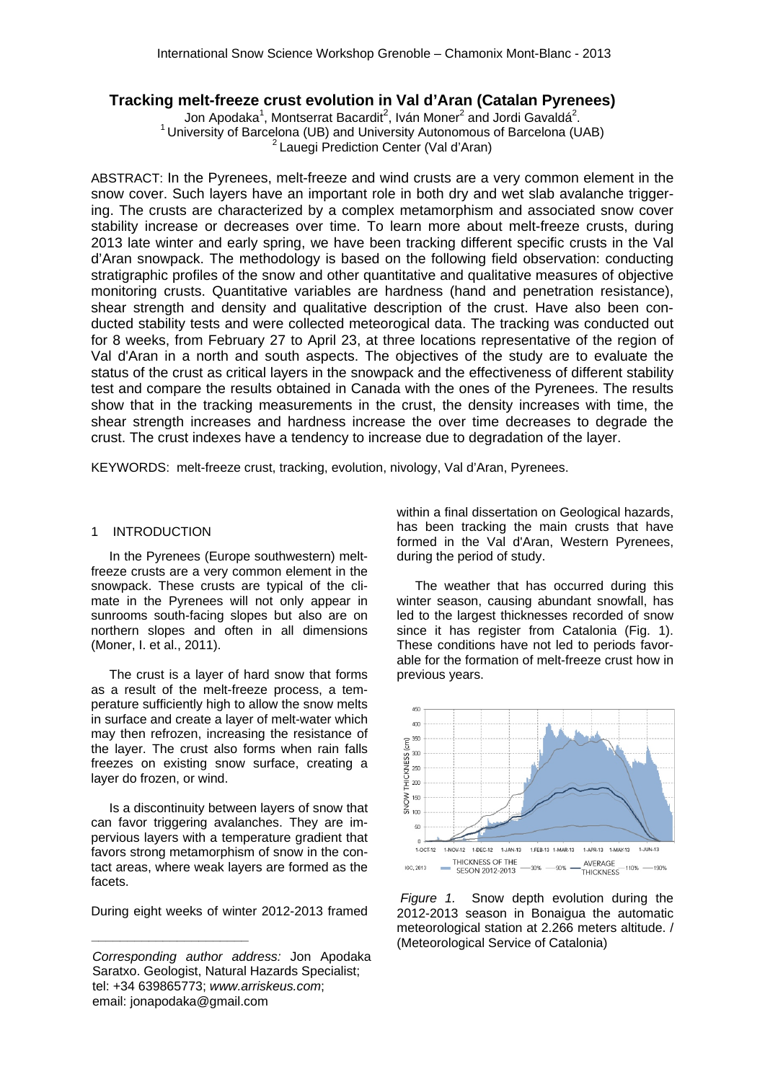# **Tracking melt-freeze crust evolution in Val d'Aran (Catalan Pyrenees)**

Jon Apodaka<sup>1</sup>, Montserrat Bacardit<sup>2</sup>, Iván Moner<sup>2</sup> and Jordi Gavaldá<sup>2</sup> <sup>1</sup> University of Barcelona (UB) and University Autonomous of Barcelona (UAB)  $2^2$  Lauegi Prediction Center (Val d'Aran)

ABSTRACT: In the Pyrenees, melt-freeze and wind crusts are a very common element in the snow cover. Such layers have an important role in both dry and wet slab avalanche triggering. The crusts are characterized by a complex metamorphism and associated snow cover stability increase or decreases over time. To learn more about melt-freeze crusts, during 2013 late winter and early spring, we have been tracking different specific crusts in the Val d'Aran snowpack. The methodology is based on the following field observation: conducting stratigraphic profiles of the snow and other quantitative and qualitative measures of objective monitoring crusts. Quantitative variables are hardness (hand and penetration resistance), shear strength and density and qualitative description of the crust. Have also been conducted stability tests and were collected meteorogical data. The tracking was conducted out for 8 weeks, from February 27 to April 23, at three locations representative of the region of Val d'Aran in a north and south aspects. The objectives of the study are to evaluate the status of the crust as critical layers in the snowpack and the effectiveness of different stability test and compare the results obtained in Canada with the ones of the Pyrenees. The results show that in the tracking measurements in the crust, the density increases with time, the shear strength increases and hardness increase the over time decreases to degrade the crust. The crust indexes have a tendency to increase due to degradation of the layer.

KEYWORDS: melt-freeze crust, tracking, evolution, nivology, Val d'Aran, Pyrenees.

#### 1 INTRODUCTION

In the Pyrenees (Europe southwestern) meltfreeze crusts are a very common element in the snowpack. These crusts are typical of the climate in the Pyrenees will not only appear in sunrooms south-facing slopes but also are on northern slopes and often in all dimensions (Moner, I. et al., 2011).

The crust is a layer of hard snow that forms as a result of the melt-freeze process, a temperature sufficiently high to allow the snow melts in surface and create a layer of melt-water which may then refrozen, increasing the resistance of the layer. The crust also forms when rain falls freezes on existing snow surface, creating a layer do frozen, or wind.

Is a discontinuity between layers of snow that can favor triggering avalanches. They are impervious layers with a temperature gradient that favors strong metamorphism of snow in the contact areas, where weak layers are formed as the facets.

During eight weeks of winter 2012-2013 framed

within a final dissertation on Geological hazards, has been tracking the main crusts that have formed in the Val d'Aran, Western Pyrenees, during the period of study.

The weather that has occurred during this winter season, causing abundant snowfall, has led to the largest thicknesses recorded of snow since it has register from Catalonia (Fig. 1). These conditions have not led to periods favorable for the formation of melt-freeze crust how in previous years.



 *Figure 1.* Snow depth evolution during the 2012-2013 season in Bonaigua the automatic meteorological station at 2.266 meters altitude. / (Meteorological Service of Catalonia) *\_\_\_\_\_\_\_\_\_\_\_\_\_\_\_\_\_\_\_\_\_\_* 

*Corresponding author address:* Jon Apodaka Saratxo. Geologist, Natural Hazards Specialist; tel: +34 639865773; *www.arriskeus.com*; email: jonapodaka@gmail.com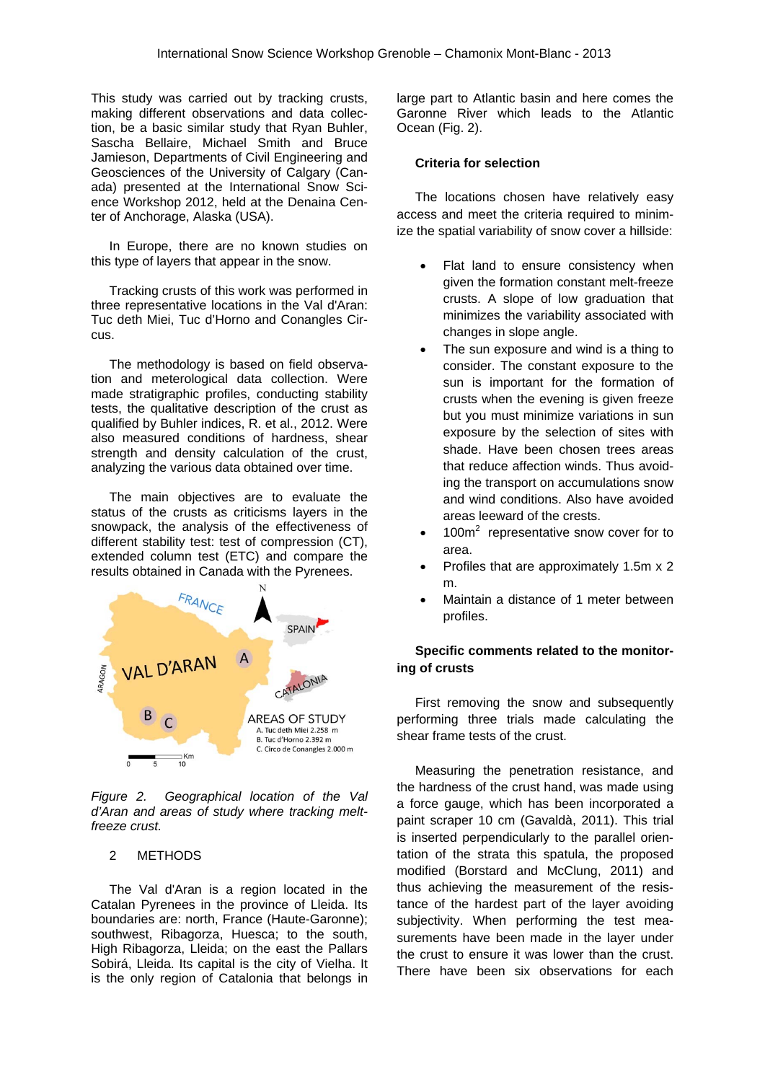This study was carried out by tracking crusts, making different observations and data collection, be a basic similar study that Ryan Buhler, Sascha Bellaire, Michael Smith and Bruce Jamieson, Departments of Civil Engineering and Geosciences of the University of Calgary (Canada) presented at the International Snow Science Workshop 2012, held at the Denaina Center of Anchorage, Alaska (USA).

In Europe, there are no known studies on this type of layers that appear in the snow.

Tracking crusts of this work was performed in three representative locations in the Val d'Aran: Tuc deth Miei, Tuc d'Horno and Conangles Circus.

The methodology is based on field observation and meterological data collection. Were made stratigraphic profiles, conducting stability tests, the qualitative description of the crust as qualified by Buhler indices, R. et al., 2012. Were also measured conditions of hardness, shear strength and density calculation of the crust, analyzing the various data obtained over time.

The main objectives are to evaluate the status of the crusts as criticisms layers in the snowpack, the analysis of the effectiveness of different stability test: test of compression (CT), extended column test (ETC) and compare the results obtained in Canada with the Pyrenees.



*Figure 2. Geographical location of the Val d'Aran and areas of study where tracking meltfreeze crust.* 

## 2 METHODS

The Val d'Aran is a region located in the Catalan Pyrenees in the province of Lleida. Its boundaries are: north, France (Haute-Garonne); southwest, Ribagorza, Huesca; to the south, High Ribagorza, Lleida; on the east the Pallars Sobirá, Lleida. Its capital is the city of Vielha. It is the only region of Catalonia that belongs in

large part to Atlantic basin and here comes the Garonne River which leads to the Atlantic Ocean (Fig. 2).

## **Criteria for selection**

The locations chosen have relatively easy access and meet the criteria required to minimize the spatial variability of snow cover a hillside:

- Flat land to ensure consistency when given the formation constant melt-freeze crusts. A slope of low graduation that minimizes the variability associated with changes in slope angle.
- The sun exposure and wind is a thing to consider. The constant exposure to the sun is important for the formation of crusts when the evening is given freeze but you must minimize variations in sun exposure by the selection of sites with shade. Have been chosen trees areas that reduce affection winds. Thus avoiding the transport on accumulations snow and wind conditions. Also have avoided areas leeward of the crests.
- $\bullet$  100 $m^2$  representative snow cover for to area.
- Profiles that are approximately 1.5m x 2 m.
- Maintain a distance of 1 meter between profiles.

## **Specific comments related to the monitoring of crusts**

First removing the snow and subsequently performing three trials made calculating the shear frame tests of the crust.

Measuring the penetration resistance, and the hardness of the crust hand, was made using a force gauge, which has been incorporated a paint scraper 10 cm (Gavaldà, 2011). This trial is inserted perpendicularly to the parallel orientation of the strata this spatula, the proposed modified (Borstard and McClung, 2011) and thus achieving the measurement of the resistance of the hardest part of the layer avoiding subjectivity. When performing the test measurements have been made in the layer under the crust to ensure it was lower than the crust. There have been six observations for each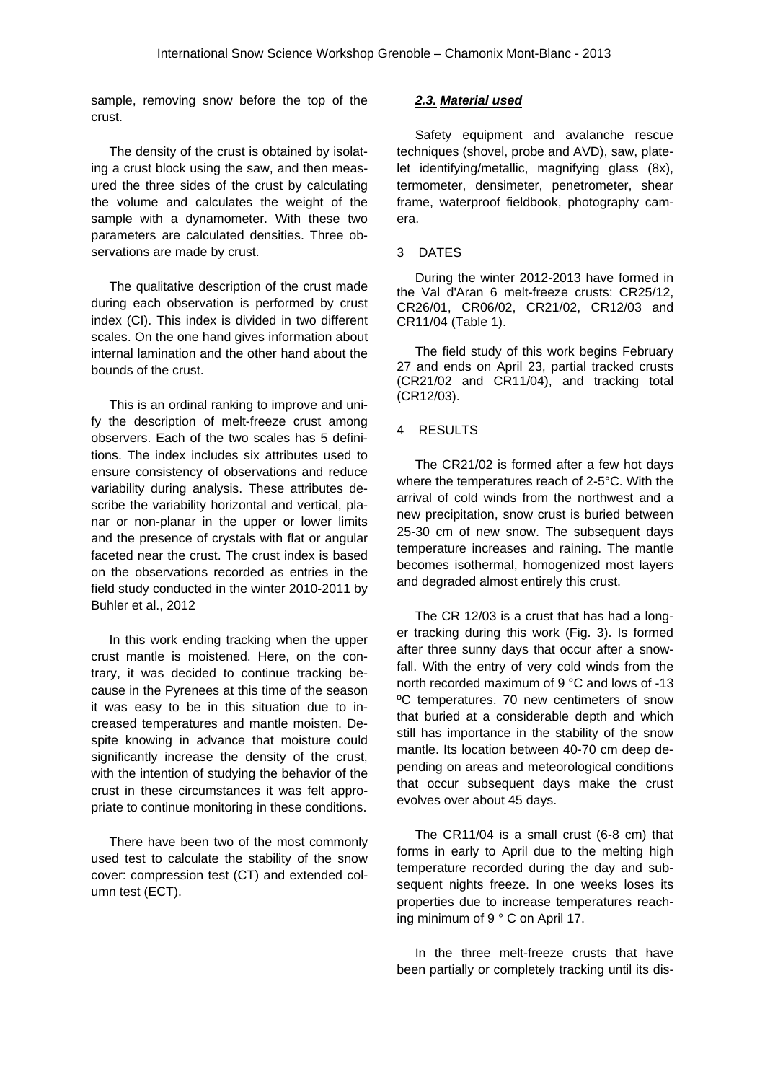sample, removing snow before the top of the crust.

The density of the crust is obtained by isolating a crust block using the saw, and then measured the three sides of the crust by calculating the volume and calculates the weight of the sample with a dynamometer. With these two parameters are calculated densities. Three observations are made by crust.

The qualitative description of the crust made during each observation is performed by crust index (CI). This index is divided in two different scales. On the one hand gives information about internal lamination and the other hand about the bounds of the crust.

This is an ordinal ranking to improve and unify the description of melt-freeze crust among observers. Each of the two scales has 5 definitions. The index includes six attributes used to ensure consistency of observations and reduce variability during analysis. These attributes describe the variability horizontal and vertical, planar or non-planar in the upper or lower limits and the presence of crystals with flat or angular faceted near the crust. The crust index is based on the observations recorded as entries in the field study conducted in the winter 2010-2011 by Buhler et al., 2012

In this work ending tracking when the upper crust mantle is moistened. Here, on the contrary, it was decided to continue tracking because in the Pyrenees at this time of the season it was easy to be in this situation due to increased temperatures and mantle moisten. Despite knowing in advance that moisture could significantly increase the density of the crust, with the intention of studying the behavior of the crust in these circumstances it was felt appropriate to continue monitoring in these conditions.

There have been two of the most commonly used test to calculate the stability of the snow cover: compression test (CT) and extended column test (ECT).

### *2.3. Material used*

Safety equipment and avalanche rescue techniques (shovel, probe and AVD), saw, platelet identifying/metallic, magnifying glass (8x), termometer, densimeter, penetrometer, shear frame, waterproof fieldbook, photography camera.

#### 3 DATES

During the winter 2012-2013 have formed in the Val d'Aran 6 melt-freeze crusts: CR25/12, CR26/01, CR06/02, CR21/02, CR12/03 and CR11/04 (Table 1).

The field study of this work begins February 27 and ends on April 23, partial tracked crusts (CR21/02 and CR11/04), and tracking total (CR12/03).

### 4 RESULTS

The CR21/02 is formed after a few hot days where the temperatures reach of 2-5°C. With the arrival of cold winds from the northwest and a new precipitation, snow crust is buried between 25-30 cm of new snow. The subsequent days temperature increases and raining. The mantle becomes isothermal, homogenized most layers and degraded almost entirely this crust.

The CR 12/03 is a crust that has had a longer tracking during this work (Fig. 3). Is formed after three sunny days that occur after a snowfall. With the entry of very cold winds from the north recorded maximum of 9 °C and lows of -13 ºC temperatures. 70 new centimeters of snow that buried at a considerable depth and which still has importance in the stability of the snow mantle. Its location between 40-70 cm deep depending on areas and meteorological conditions that occur subsequent days make the crust evolves over about 45 days.

The CR11/04 is a small crust (6-8 cm) that forms in early to April due to the melting high temperature recorded during the day and subsequent nights freeze. In one weeks loses its properties due to increase temperatures reaching minimum of 9 ° C on April 17.

In the three melt-freeze crusts that have been partially or completely tracking until its dis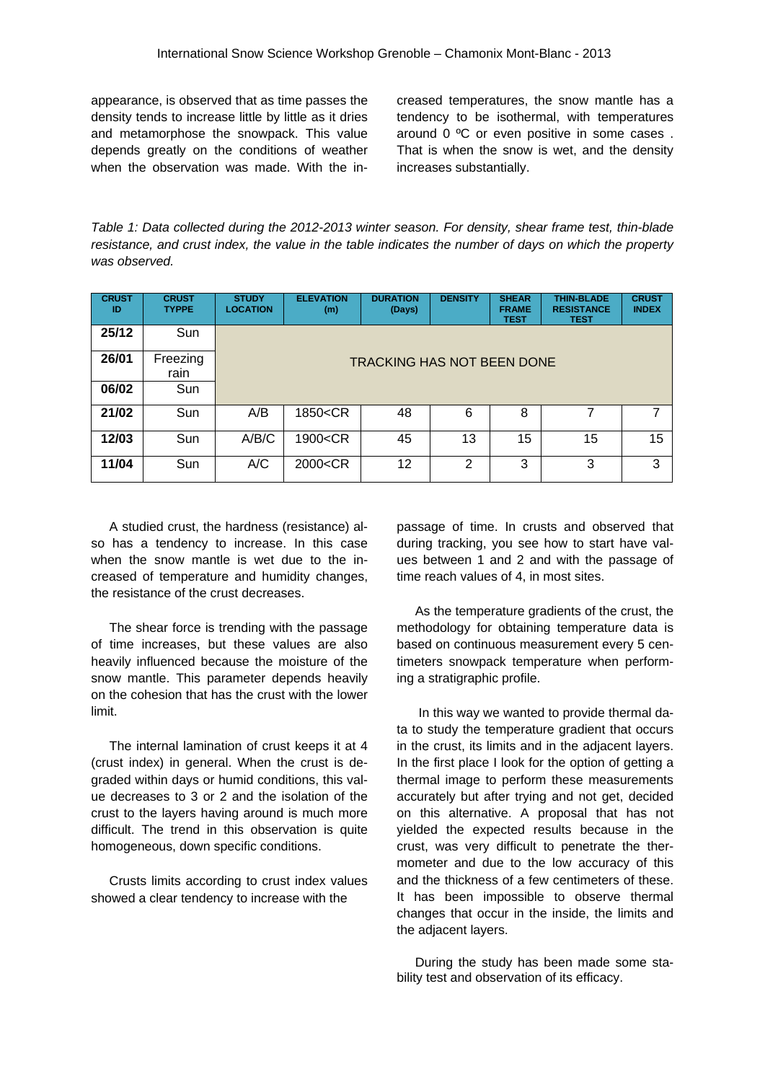appearance, is observed that as time passes the density tends to increase little by little as it dries and metamorphose the snowpack. This value depends greatly on the conditions of weather when the observation was made. With the in-

creased temperatures, the snow mantle has a tendency to be isothermal, with temperatures around 0 ºC or even positive in some cases . That is when the snow is wet, and the density increases substantially.

*Table 1: Data collected during the 2012-2013 winter season. For density, shear frame test, thin-blade resistance, and crust index, the value in the table indicates the number of days on which the property was observed.* 

| <b>CRUST</b><br>ID | <b>CRUST</b><br><b>TYPPE</b> | <b>STUDY</b><br><b>LOCATION</b>   | <b>ELEVATION</b><br>(m)                                                                           | <b>DURATION</b><br>(Days) | <b>DENSITY</b> | <b>SHEAR</b><br><b>FRAME</b><br><b>TEST</b> | <b>THIN-BLADE</b><br><b>RESISTANCE</b><br><b>TEST</b> | <b>CRUST</b><br><b>INDEX</b> |
|--------------------|------------------------------|-----------------------------------|---------------------------------------------------------------------------------------------------|---------------------------|----------------|---------------------------------------------|-------------------------------------------------------|------------------------------|
| 25/12              | <b>Sun</b>                   |                                   |                                                                                                   |                           |                |                                             |                                                       |                              |
| 26/01              | Freezing<br>rain             | <b>TRACKING HAS NOT BEEN DONE</b> |                                                                                                   |                           |                |                                             |                                                       |                              |
| 06/02              | Sun                          |                                   |                                                                                                   |                           |                |                                             |                                                       |                              |
| 21/02              | Sun                          | A/B                               | 1850 <cr< th=""><th>48</th><th>6</th><th>8</th><th>7</th><th>7</th></cr<>                         | 48                        | 6              | 8                                           | 7                                                     | 7                            |
| 12/03              | Sun                          | A/B/C                             | 1900 <cr< th=""><th>45</th><th>13</th><th>15</th><th>15</th><th>15</th></cr<>                     | 45                        | 13             | 15                                          | 15                                                    | 15                           |
| 11/04              | Sun                          | A/C                               | 2000 <cr< th=""><th>12</th><th><math>\overline{2}</math></th><th>3</th><th>3</th><th>3</th></cr<> | 12                        | $\overline{2}$ | 3                                           | 3                                                     | 3                            |

A studied crust, the hardness (resistance) also has a tendency to increase. In this case when the snow mantle is wet due to the increased of temperature and humidity changes, the resistance of the crust decreases.

The shear force is trending with the passage of time increases, but these values are also heavily influenced because the moisture of the snow mantle. This parameter depends heavily on the cohesion that has the crust with the lower limit.

The internal lamination of crust keeps it at 4 (crust index) in general. When the crust is degraded within days or humid conditions, this value decreases to 3 or 2 and the isolation of the crust to the layers having around is much more difficult. The trend in this observation is quite homogeneous, down specific conditions.

Crusts limits according to crust index values showed a clear tendency to increase with the

passage of time. In crusts and observed that during tracking, you see how to start have values between 1 and 2 and with the passage of time reach values of 4, in most sites.

As the temperature gradients of the crust, the methodology for obtaining temperature data is based on continuous measurement every 5 centimeters snowpack temperature when performing a stratigraphic profile.

 In this way we wanted to provide thermal data to study the temperature gradient that occurs in the crust, its limits and in the adjacent layers. In the first place I look for the option of getting a thermal image to perform these measurements accurately but after trying and not get, decided on this alternative. A proposal that has not yielded the expected results because in the crust, was very difficult to penetrate the thermometer and due to the low accuracy of this and the thickness of a few centimeters of these. It has been impossible to observe thermal changes that occur in the inside, the limits and the adjacent layers.

During the study has been made some stability test and observation of its efficacy.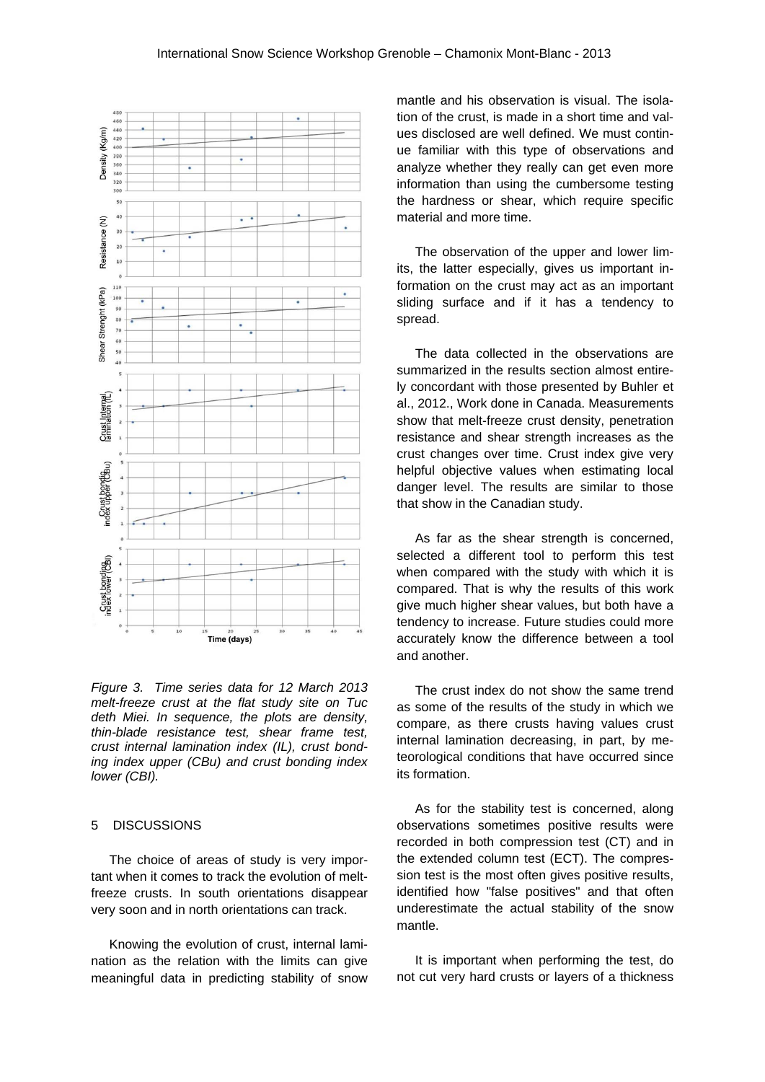

*Figure 3. Time series data for 12 March 2013 melt-freeze crust at the flat study site on Tuc deth Miei. In sequence, the plots are density, thin-blade resistance test, shear frame test, crust internal lamination index (IL), crust bonding index upper (CBu) and crust bonding index lower (CBI).* 

### 5 DISCUSSIONS

The choice of areas of study is very important when it comes to track the evolution of meltfreeze crusts. In south orientations disappear very soon and in north orientations can track.

Knowing the evolution of crust, internal lamination as the relation with the limits can give meaningful data in predicting stability of snow

mantle and his observation is visual. The isolation of the crust, is made in a short time and values disclosed are well defined. We must continue familiar with this type of observations and analyze whether they really can get even more information than using the cumbersome testing the hardness or shear, which require specific material and more time.

The observation of the upper and lower limits, the latter especially, gives us important information on the crust may act as an important sliding surface and if it has a tendency to spread.

The data collected in the observations are summarized in the results section almost entirely concordant with those presented by Buhler et al., 2012., Work done in Canada. Measurements show that melt-freeze crust density, penetration resistance and shear strength increases as the crust changes over time. Crust index give very helpful objective values when estimating local danger level. The results are similar to those that show in the Canadian study.

As far as the shear strength is concerned, selected a different tool to perform this test when compared with the study with which it is compared. That is why the results of this work give much higher shear values, but both have a tendency to increase. Future studies could more accurately know the difference between a tool and another.

The crust index do not show the same trend as some of the results of the study in which we compare, as there crusts having values crust internal lamination decreasing, in part, by meteorological conditions that have occurred since its formation.

As for the stability test is concerned, along observations sometimes positive results were recorded in both compression test (CT) and in the extended column test (ECT). The compression test is the most often gives positive results, identified how "false positives" and that often underestimate the actual stability of the snow mantle.

It is important when performing the test, do not cut very hard crusts or layers of a thickness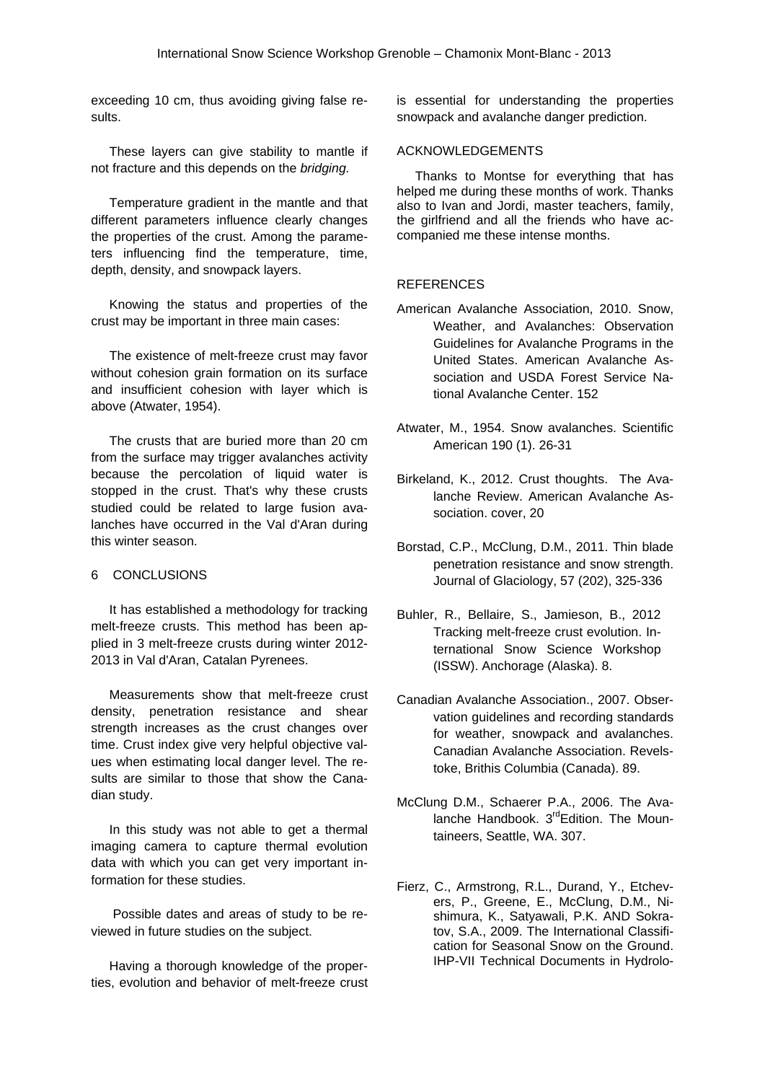exceeding 10 cm, thus avoiding giving false results.

These layers can give stability to mantle if not fracture and this depends on the *bridging.*

Temperature gradient in the mantle and that different parameters influence clearly changes the properties of the crust. Among the parameters influencing find the temperature, time, depth, density, and snowpack layers.

Knowing the status and properties of the crust may be important in three main cases:

The existence of melt-freeze crust may favor without cohesion grain formation on its surface and insufficient cohesion with layer which is above (Atwater, 1954).

The crusts that are buried more than 20 cm from the surface may trigger avalanches activity because the percolation of liquid water is stopped in the crust. That's why these crusts studied could be related to large fusion avalanches have occurred in the Val d'Aran during this winter season.

#### 6 CONCLUSIONS

It has established a methodology for tracking melt-freeze crusts. This method has been applied in 3 melt-freeze crusts during winter 2012- 2013 in Val d'Aran, Catalan Pyrenees.

Measurements show that melt-freeze crust density, penetration resistance and shear strength increases as the crust changes over time. Crust index give very helpful objective values when estimating local danger level. The results are similar to those that show the Canadian study.

In this study was not able to get a thermal imaging camera to capture thermal evolution data with which you can get very important information for these studies.

 Possible dates and areas of study to be reviewed in future studies on the subject.

Having a thorough knowledge of the properties, evolution and behavior of melt-freeze crust

is essential for understanding the properties snowpack and avalanche danger prediction.

#### ACKNOWLEDGEMENTS

Thanks to Montse for everything that has helped me during these months of work. Thanks also to Ivan and Jordi, master teachers, family, the girlfriend and all the friends who have accompanied me these intense months.

#### **REFERENCES**

- American Avalanche Association, 2010. Snow, Weather, and Avalanches: Observation Guidelines for Avalanche Programs in the United States. American Avalanche Association and USDA Forest Service National Avalanche Center. 152
- Atwater, M., 1954. Snow avalanches. Scientific American 190 (1). 26-31
- Birkeland, K., 2012. Crust thoughts. The Avalanche Review. American Avalanche Association. cover, 20
- Borstad, C.P., McClung, D.M., 2011. Thin blade penetration resistance and snow strength. Journal of Glaciology, 57 (202), 325-336
- Buhler, R., Bellaire, S., Jamieson, B., 2012 Tracking melt-freeze crust evolution. International Snow Science Workshop (ISSW). Anchorage (Alaska). 8.
- Canadian Avalanche Association., 2007. Observation guidelines and recording standards for weather, snowpack and avalanches. Canadian Avalanche Association. Revelstoke, Brithis Columbia (Canada). 89.
- McClung D.M., Schaerer P.A., 2006. The Avalanche Handbook. 3<sup>rd</sup>Edition. The Mountaineers, Seattle, WA. 307.
- Fierz, C., Armstrong, R.L., Durand, Y., Etchevers, P., Greene, E., McClung, D.M., Nishimura, K., Satyawali, P.K. AND Sokratov, S.A., 2009. The International Classification for Seasonal Snow on the Ground. IHP-VII Technical Documents in Hydrolo-